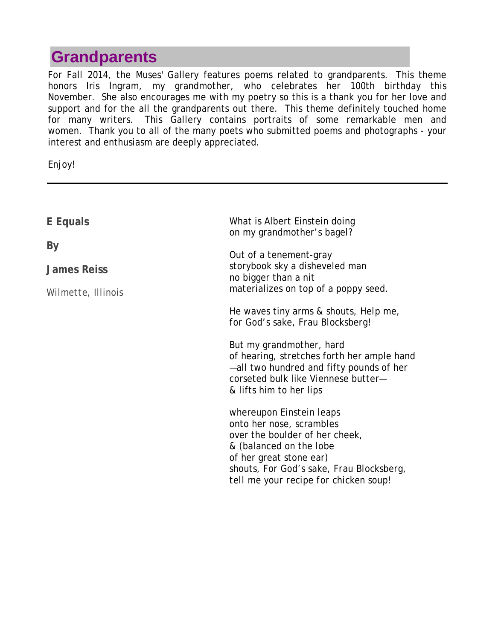# **Grandparents**

For Fall 2014, the Muses' Gallery features poems related to grandparents. This theme honors Iris Ingram, my grandmother, who celebrates her 100th birthday this November. She also encourages me with my poetry so this is a thank you for her love and support and for the all the grandparents out there. This theme definitely touched home for many writers. This Gallery contains portraits of some remarkable men and women. Thank you to all of the many poets who submitted poems and photographs - your interest and enthusiasm are deeply appreciated.

Enjoy!

| E Equals           | What is Albert Einstein doing<br>on my grandmother's bagel?                                                                                                                          |
|--------------------|--------------------------------------------------------------------------------------------------------------------------------------------------------------------------------------|
| By                 | Out of a tenement-gray                                                                                                                                                               |
| James Reiss        | storybook sky a disheveled man<br>no bigger than a nit                                                                                                                               |
| Wilmette, Illinois | materializes on top of a poppy seed.                                                                                                                                                 |
|                    | He waves tiny arms & shouts, <i>Help me</i> ,<br>for God's sake, Frau Blocksberg!                                                                                                    |
|                    | But my grandmother, hard<br>of hearing, stretches forth her ample hand<br>-all two hundred and fifty pounds of her<br>corseted bulk like Viennese butter-<br>& lifts him to her lips |
|                    | whereupon Einstein leaps<br>onto her nose, scrambles                                                                                                                                 |
|                    | over the boulder of her cheek,<br>& (balanced on the lobe                                                                                                                            |
|                    | of her great stone ear)                                                                                                                                                              |
|                    | shouts, For God's sake, Frau Blocksberg,<br>tell me your recipe for chicken soup!                                                                                                    |
|                    |                                                                                                                                                                                      |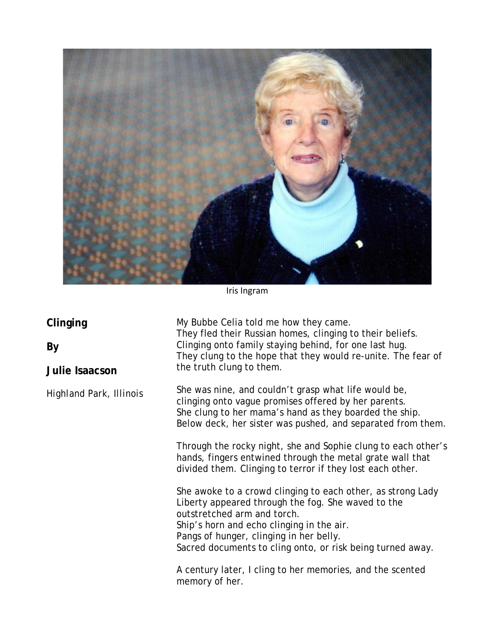

Iris Ingram

#### **Clinging**

**By**

**Julie Isaacson**

*Highland Park, Illinois*

My Bubbe Celia told me how they came. They fled their Russian homes, clinging to their beliefs. Clinging onto family staying behind, for one last hug. They clung to the hope that they would re-unite. The fear of the truth clung to them.

She was nine, and couldn't grasp what life would be, clinging onto vague promises offered by her parents. She clung to her mama's hand as they boarded the ship. Below deck, her sister was pushed, and separated from them.

Through the rocky night, she and Sophie clung to each other's hands, fingers entwined through the metal grate wall that divided them. Clinging to terror if they lost each other.

She awoke to a crowd clinging to each other, as strong Lady Liberty appeared through the fog. She waved to the outstretched arm and torch. Ship's horn and echo clinging in the air. Pangs of hunger, clinging in her belly. Sacred documents to cling onto, or risk being turned away.

A century later, I cling to her memories, and the scented memory of her.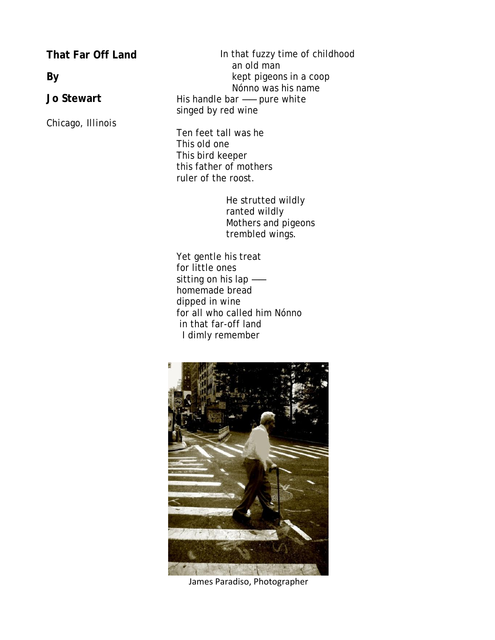**That Far Off Land**

**By** 

**Jo Stewart**

*Chicago, Illinois*

 In that fuzzy time of childhood an old man kept pigeons in a coop Nónno was his name His handle bar —— pure white singed by red wine

Ten feet tall was he This old one This bird keeper this father of mothers ruler of the roost.

> He strutted wildly ranted wildly Mothers and pigeons trembled wings.

Yet gentle his treat for little ones sitting on his lap — homemade bread dipped in wine for all who called him Nónno in that far-off land I dimly remember



James Paradiso, Photographer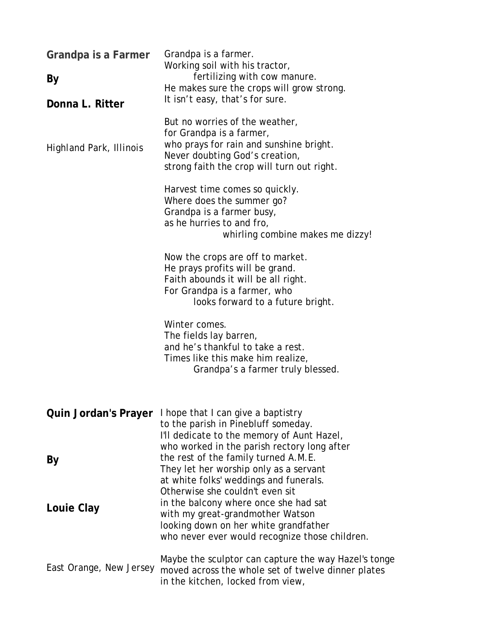| Grandpa is a Farmer<br>By<br>Donna L. Ritter<br><b>Highland Park, Illinois</b> | Grandpa is a farmer.<br>Working soil with his tractor,<br>fertilizing with cow manure.<br>He makes sure the crops will grow strong.<br>It isn't easy, that's for sure.<br>But no worries of the weather,<br>for Grandpa is a farmer,<br>who prays for rain and sunshine bright.<br>Never doubting God's creation,<br>strong faith the crop will turn out right.<br>Harvest time comes so quickly. |
|--------------------------------------------------------------------------------|---------------------------------------------------------------------------------------------------------------------------------------------------------------------------------------------------------------------------------------------------------------------------------------------------------------------------------------------------------------------------------------------------|
|                                                                                | Where does the summer go?<br>Grandpa is a farmer busy,<br>as he hurries to and fro,<br>whirling combine makes me dizzy!                                                                                                                                                                                                                                                                           |
|                                                                                | Now the crops are off to market.<br>He prays profits will be grand.<br>Faith abounds it will be all right.<br>For Grandpa is a farmer, who<br>looks forward to a future bright.                                                                                                                                                                                                                   |
|                                                                                | Winter comes.<br>The fields lay barren,<br>and he's thankful to take a rest.<br>Times like this make him realize,<br>Grandpa's a farmer truly blessed.                                                                                                                                                                                                                                            |
| <b>Quin Jordan's Prayer</b>                                                    | I hope that I can give a baptistry<br>to the parish in Pinebluff someday.<br>I'll dedicate to the memory of Aunt Hazel,                                                                                                                                                                                                                                                                           |
| By                                                                             | who worked in the parish rectory long after<br>the rest of the family turned A.M.E.<br>They let her worship only as a servant<br>at white folks' weddings and funerals.<br>Otherwise she couldn't even sit                                                                                                                                                                                        |
| Louie Clay                                                                     | in the balcony where once she had sat<br>with my great-grandmother Watson<br>looking down on her white grandfather<br>who never ever would recognize those children.                                                                                                                                                                                                                              |
| East Orange, New Jersey                                                        | Maybe the sculptor can capture the way Hazel's tonge<br>moved across the whole set of twelve dinner plates<br>in the kitchen, locked from view,                                                                                                                                                                                                                                                   |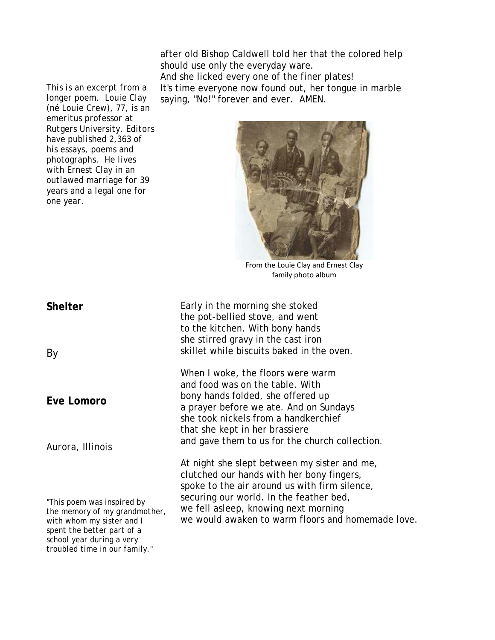after old Bishop Caldwell told her that the colored help should use only the everyday ware. And she licked every one of the finer plates!

*This is an excerpt from a longer poem. Louie Clay (né Louie Crew), 77, is an emeritus professor at Rutgers University. Editors have published 2,363 of his essays, poems and photographs. He lives with Ernest Clay in an outlawed marriage for 39 years and a legal one for one year.*  It's time everyone now found out, her tongue in marble saying, "No!" forever and ever. AMEN.



From the Louie Clay and Ernest Clay family photo album

**Shelter** Early in the morning she stoked the pot-bellied stove, and went to the kitchen. With bony hands she stirred gravy in the cast iron skillet while biscuits baked in the oven. When I woke, the floors were warm and food was on the table. With bony hands folded, she offered up a prayer before we ate. And on Sundays she took nickels from a handkerchief that she kept in her brassiere and gave them to us for the church collection. At night she slept between my sister and me, clutched our hands with her bony fingers, spoke to the air around us with firm silence, securing our world. In the feather bed, we fell asleep, knowing next morning we would awaken to warm floors and homemade love.

By

**Eve Lomoro**

*Aurora, Illinois*

*"This poem was inspired by the memory of my grandmother, with whom my sister and I spent the better part of a school year during a very troubled time in our family."*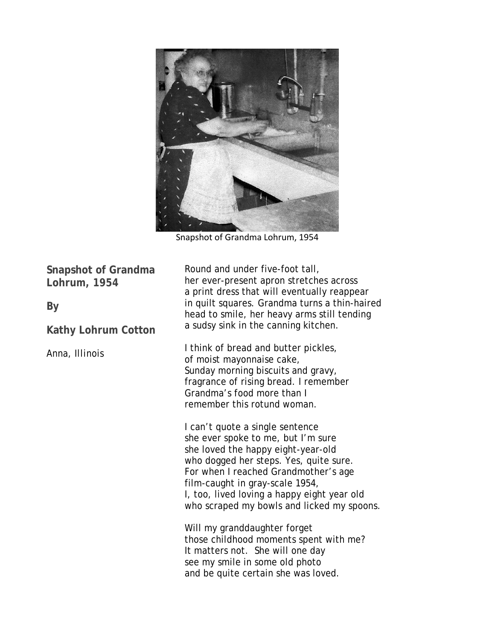

Snapshot of Grandma Lohrum, 1954

**Snapshot of Grandma Lohrum, 1954**

**By**

**Kathy Lohrum Cotton**

*Anna, Illinois*

Round and under five-foot tall, her ever-present apron stretches across a print dress that will eventually reappear in quilt squares. Grandma turns a thin-haired head to smile, her heavy arms still tending a sudsy sink in the canning kitchen.

I think of bread and butter pickles, of moist mayonnaise cake, Sunday morning biscuits and gravy, fragrance of rising bread. I remember Grandma's food more than I remember this rotund woman.

I can't quote a single sentence she ever spoke to me, but I'm sure she loved the happy eight-year-old who dogged her steps. Yes, quite sure. For when I reached Grandmother's age film-caught in gray-scale 1954, I, too, lived loving a happy eight year old who scraped my bowls and licked my spoons.

Will my granddaughter forget those childhood moments spent with me? It matters not. She will one day see my smile in some old photo and be quite certain she was loved.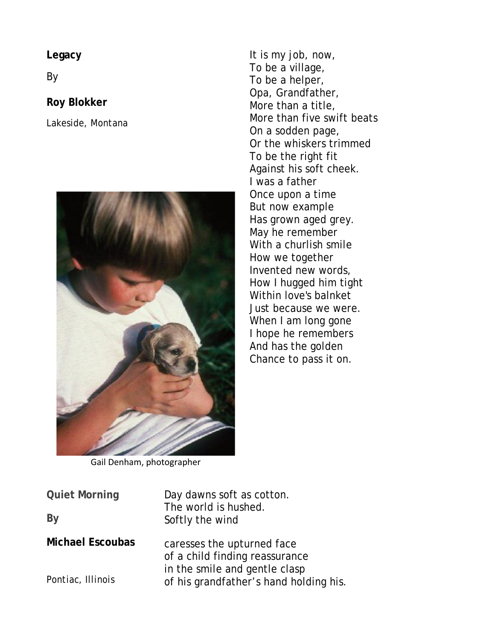**Legacy**

By

### **Roy Blokker**

*Lakeside, Montana*



It is my job, now, To be a village, To be a helper, Opa, Grandfather, More than a title, More than five swift beats On a sodden page, Or the whiskers trimmed To be the right fit Against his soft cheek. I was a father Once upon a time But now example Has grown aged grey. May he remember With a churlish smile How we together Invented new words, How I hugged him tight Within love's balnket Just because we were. When I am long gone I hope he remembers And has the golden Chance to pass it on.

Gail Denham, photographer

**Quiet Morning**

**By**

**Michael Escoubas**

*Pontiac, Illinois*

Day dawns soft as cotton. The world is hushed. Softly the wind

caresses the upturned face of a child finding reassurance in the smile and gentle clasp of his grandfather's hand holding his.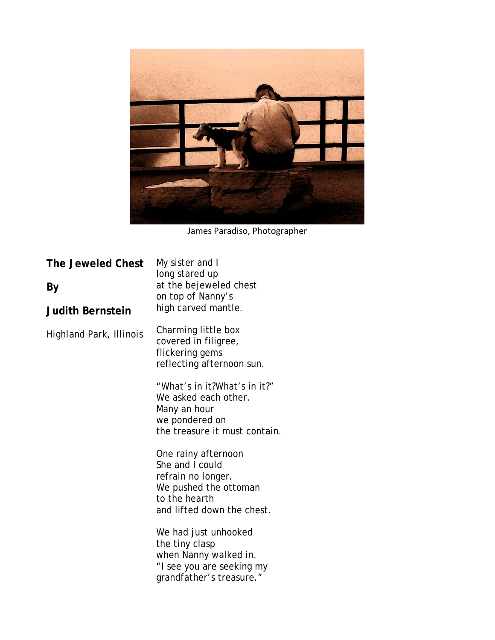

James Paradiso, Photographer

| The Jeweled Chest<br>By<br><b>Judith Bernstein</b> | My sister and I<br>long stared up<br>at the bejeweled chest<br>on top of Nanny's<br>high carved mantle.                              |
|----------------------------------------------------|--------------------------------------------------------------------------------------------------------------------------------------|
| Highland Park, Illinois                            | Charming little box<br>covered in filigree,<br>flickering gems<br>reflecting afternoon sun.                                          |
|                                                    | "What's in it?What's in it?"<br>We asked each other.<br>Many an hour<br>we pondered on<br>the treasure it must contain.              |
|                                                    | One rainy afternoon<br>She and I could<br>refrain no longer.<br>We pushed the ottoman<br>to the hearth<br>and lifted down the chest. |
|                                                    | We had just unhooked<br>the tiny clasp<br>when Nanny walked in.<br>"I see you are seeking my<br>grandfather's treasure."             |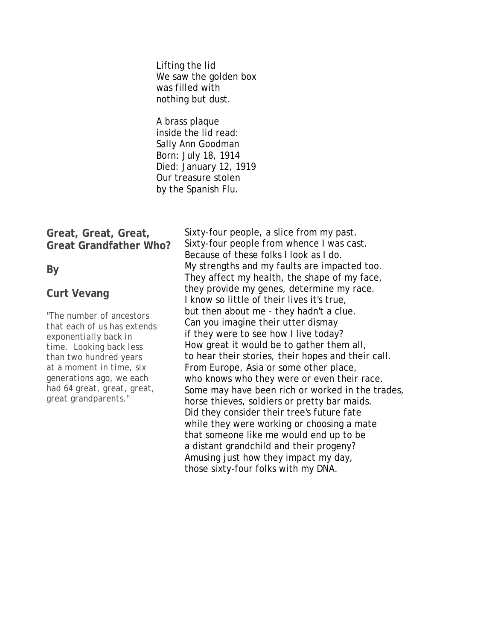Lifting the lid We saw the golden box was filled with nothing but dust.

A brass plaque inside the lid read: Sally Ann Goodman Born: July 18, 1914 Died: January 12, 1919 Our treasure stolen by the Spanish Flu.

#### **Great, Great, Great, Great Grandfather Who?**

**By**

#### **Curt Vevang**

*"The number of ancestors that each of us has extends exponentially back in time. Looking back less than two hundred years at a moment in time, six generations ago, we each had 64 great, great, great, great grandparents."*

Sixty-four people, a slice from my past. Sixty-four people from whence I was cast. Because of these folks I look as I do. My strengths and my faults are impacted too. They affect my health, the shape of my face, they provide my genes, determine my race. I know so little of their lives it's true, but then about me - they hadn't a clue. Can you imagine their utter dismay if they were to see how I live today? How great it would be to gather them all, to hear their stories, their hopes and their call. From Europe, Asia or some other place, who knows who they were or even their race. Some may have been rich or worked in the trades, horse thieves, soldiers or pretty bar maids. Did they consider their tree's future fate while they were working or choosing a mate that someone like me would end up to be a distant grandchild and their progeny? Amusing just how they impact my day, those sixty-four folks with my DNA.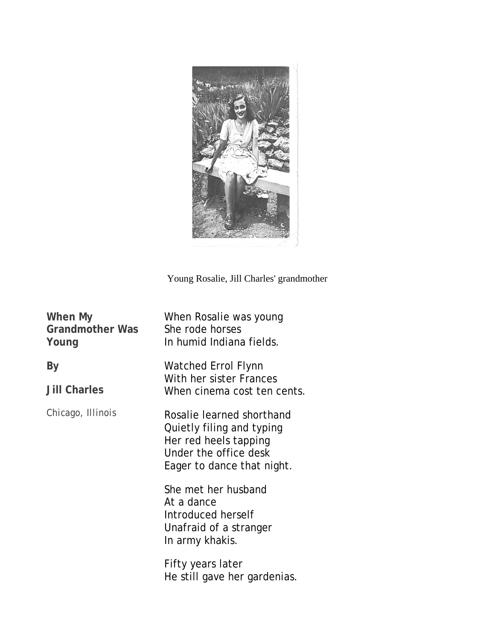

Young Rosalie, Jill Charles' grandmother

| When My<br>Grandmother Was<br>Young | When Rosalie was young<br>She rode horses<br>In humid Indiana fields.                                                                  |
|-------------------------------------|----------------------------------------------------------------------------------------------------------------------------------------|
| Вy<br><b>Jill Charles</b>           | <b>Watched Errol Flynn</b><br>With her sister Frances<br>When cinema cost ten cents.                                                   |
| Chicago, Illinois                   | Rosalie learned shorthand<br>Quietly filing and typing<br>Her red heels tapping<br>Under the office desk<br>Eager to dance that night. |
|                                     | She met her husband<br>At a dance<br>Introduced herself<br>Unafraid of a stranger<br>In army khakis.                                   |
|                                     | Fifty years later<br>He still gave her gardenias.                                                                                      |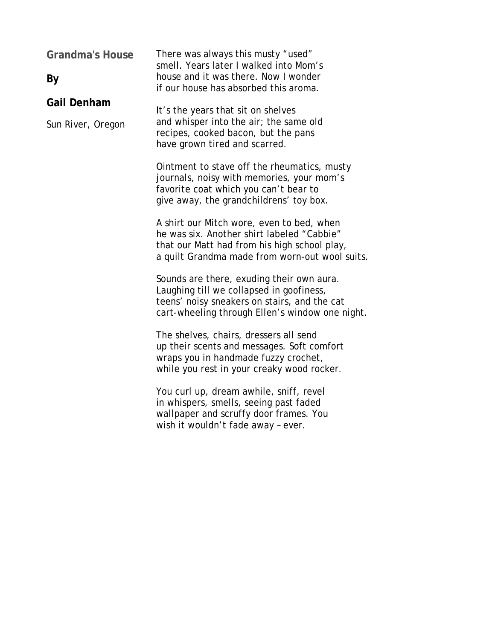| <b>Grandma's House</b><br>By            | There was always this musty "used"<br>smell. Years later I walked into Mom's<br>house and it was there. Now I wonder<br>if our house has absorbed this aroma.                             |  |
|-----------------------------------------|-------------------------------------------------------------------------------------------------------------------------------------------------------------------------------------------|--|
| <b>Gail Denham</b><br>Sun River, Oregon | It's the years that sit on shelves<br>and whisper into the air; the same old<br>recipes, cooked bacon, but the pans<br>have grown tired and scarred.                                      |  |
|                                         | Ointment to stave off the rheumatics, musty<br>journals, noisy with memories, your mom's<br>favorite coat which you can't bear to<br>give away, the grandchildrens' toy box.              |  |
|                                         | A shirt our Mitch wore, even to bed, when<br>he was six. Another shirt labeled "Cabbie"<br>that our Matt had from his high school play,<br>a quilt Grandma made from worn-out wool suits. |  |
|                                         | Sounds are there, exuding their own aura.<br>Laughing till we collapsed in goofiness,<br>teens' noisy sneakers on stairs, and the cat<br>cart-wheeling through Ellen's window one night.  |  |
|                                         | The shelves, chairs, dressers all send<br>up their scents and messages. Soft comfort<br>wraps you in handmade fuzzy crochet,<br>while you rest in your creaky wood rocker.                |  |
|                                         | You curl up, dream awhile, sniff, revel<br>in whispers, smells, seeing past faded<br>wallpaper and scruffy door frames. You<br>wish it wouldn't fade away - ever.                         |  |
|                                         |                                                                                                                                                                                           |  |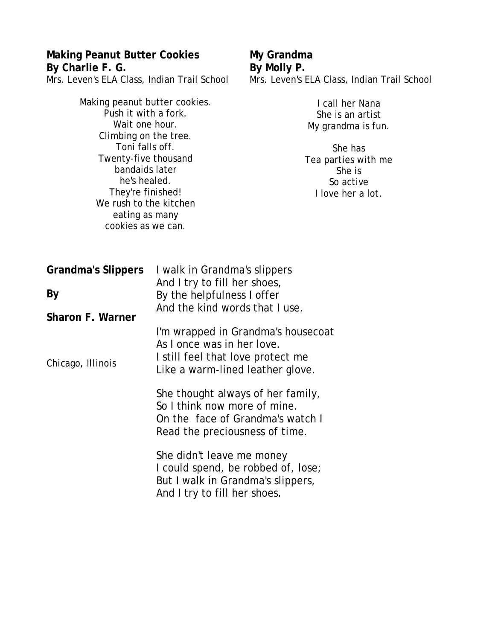## **Making Peanut Butter Cookies By Charlie F. G.**

Mrs. Leven's ELA Class, Indian Trail School

#### **My Grandma By Molly P.** Mrs. Leven's ELA Class, Indian Trail School

| Making peanut butter cookies.<br>Push it with a fork.<br>Wait one hour.<br>Climbing on the tree.<br>Toni falls off.                           |                                                                                                                                           | I call her Nana<br>She is an artist<br>My grandma is fun.<br>She has |
|-----------------------------------------------------------------------------------------------------------------------------------------------|-------------------------------------------------------------------------------------------------------------------------------------------|----------------------------------------------------------------------|
| Twenty-five thousand<br>bandaids later<br>he's healed.<br>They're finished!<br>We rush to the kitchen<br>eating as many<br>cookies as we can. |                                                                                                                                           | Tea parties with me<br>She is<br>So active<br>I love her a lot.      |
| <b>Grandma's Slippers</b>                                                                                                                     | I walk in Grandma's slippers                                                                                                              |                                                                      |
| By                                                                                                                                            | And I try to fill her shoes,<br>By the helpfulness I offer<br>And the kind words that I use.                                              |                                                                      |
| <b>Sharon F. Warner</b><br>Chicago, Illinois                                                                                                  | I'm wrapped in Grandma's housecoat<br>As I once was in her love.<br>I still feel that love protect me<br>Like a warm-lined leather glove. |                                                                      |
|                                                                                                                                               | She thought always of her family,<br>So I think now more of mine.<br>On the face of Grandma's watch I<br>Read the preciousness of time.   |                                                                      |
|                                                                                                                                               | She didn't leave me money<br>I could spend, be robbed of, lose;<br>But I walk in Grandma's slippers,<br>And I try to fill her shoes.      |                                                                      |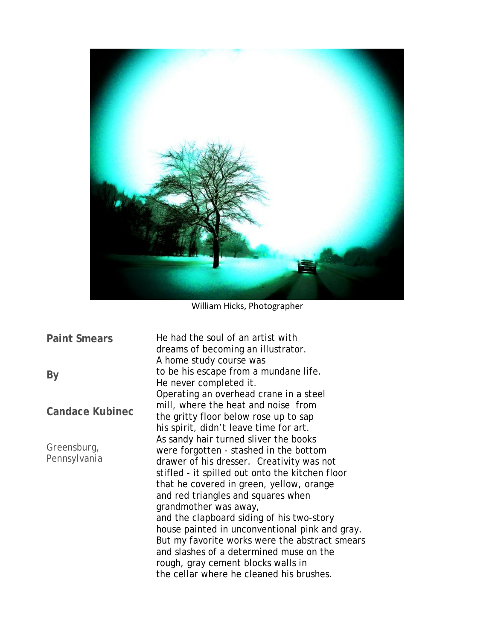

William Hicks, Photographer

**Paint Smears By Candace Kubinec** *Greensburg, Pennsylvania* He had the soul of an artist with dreams of becoming an illustrator. A home study course was to be his escape from a mundane life. He never completed it. Operating an overhead crane in a steel mill, where the heat and noise from the gritty floor below rose up to sap his spirit, didn't leave time for art. As sandy hair turned sliver the books were forgotten - stashed in the bottom drawer of his dresser. Creativity was not stifled - it spilled out onto the kitchen floor that he covered in green, yellow, orange and red triangles and squares when grandmother was away, and the clapboard siding of his two-story house painted in unconventional pink and gray. But my favorite works were the abstract smears and slashes of a determined muse on the rough, gray cement blocks walls in the cellar where he cleaned his brushes.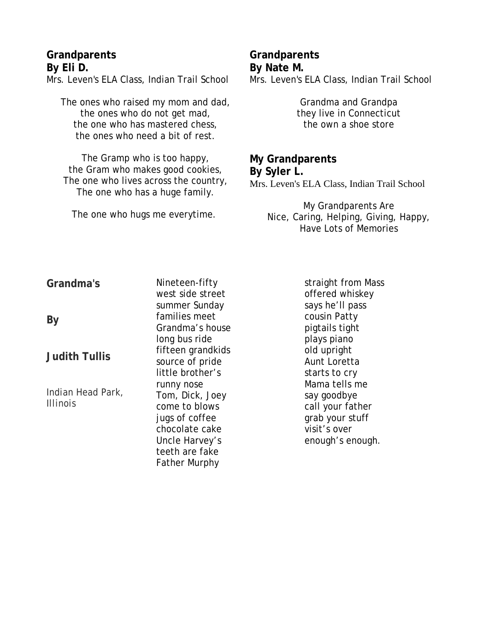#### **Grandparents By Eli D.**

Mrs. Leven's ELA Class, Indian Trail School

The ones who raised my mom and dad, the ones who do not get mad, the one who has mastered chess, the ones who need a bit of rest.

The Gramp who is too happy, the Gram who makes good cookies, The one who lives across the country, The one who has a huge family.

The one who hugs me everytime.

# **Grandparents By Nate M.**

Mrs. Leven's ELA Class, Indian Trail School

Grandma and Grandpa they live in Connecticut the own a shoe store

#### **My Grandparents By Syler L.** Mrs. Leven's ELA Class, Indian Trail School

My Grandparents Are Nice, Caring, Helping, Giving, Happy, Have Lots of Memories

**Grandma's**

**By**

**Judith Tullis**

*Indian Head Park, Illinois*

Nineteen-fifty west side street summer Sunday families meet Grandma's house long bus ride fifteen grandkids source of pride little brother's runny nose Tom, Dick, Joey come to blows jugs of coffee chocolate cake Uncle Harvey's teeth are fake Father Murphy

straight from Mass offered whiskey says he'll pass cousin Patty pigtails tight plays piano old upright Aunt Loretta starts to cry Mama tells me say goodbye call your father grab your stuff visit's over enough's enough.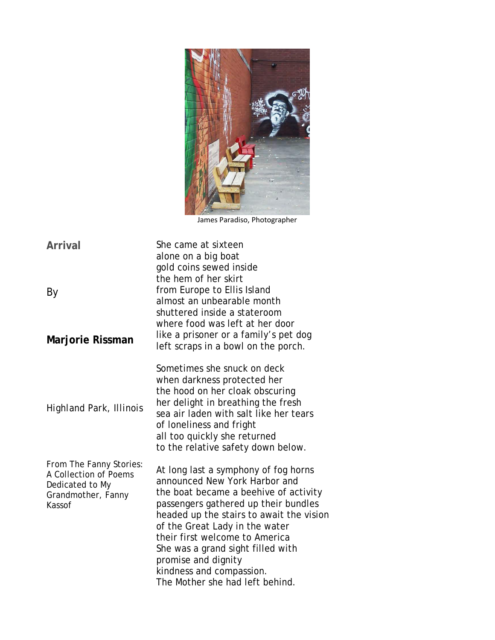

James Paradiso, Photographer

**Arrival** By **Marjorie Rissman** *Highland Park, Illinois From* The Fanny Stories: A Collection of Poems Dedicated to My Grandmother, Fanny Kassof She came at sixteen alone on a big boat gold coins sewed inside the hem of her skirt from Europe to Ellis Island almost an unbearable month shuttered inside a stateroom where food was left at her door like a prisoner or a family's pet dog left scraps in a bowl on the porch. Sometimes she snuck on deck when darkness protected her the hood on her cloak obscuring her delight in breathing the fresh sea air laden with salt like her tears of loneliness and fright all too quickly she returned to the relative safety down below. At long last a symphony of fog horns announced New York Harbor and the boat became a beehive of activity passengers gathered up their bundles headed up the stairs to await the vision of the Great Lady in the water their first welcome to America She was a grand sight filled with promise and dignity kindness and compassion. The Mother she had left behind.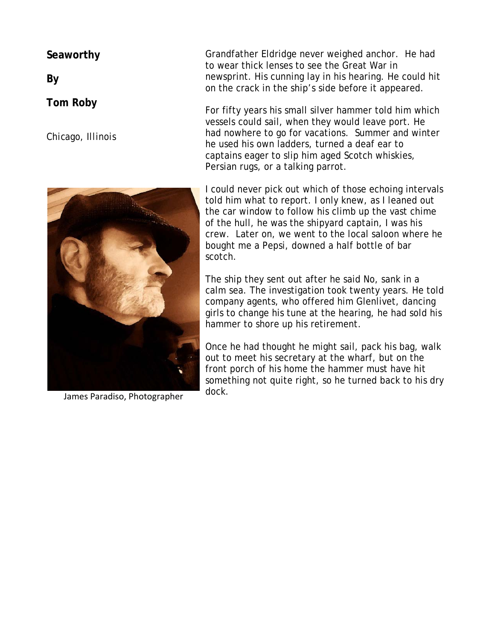**Seaworthy**

**By**

**Tom Roby**

*Chicago, Illinois*



James Paradiso, Photographer

Grandfather Eldridge never weighed anchor. He had to wear thick lenses to see the Great War in newsprint. His cunning lay in his hearing. He could hit on the crack in the ship's side before it appeared.

For fifty years his small silver hammer told him which vessels could sail, when they would leave port. He had nowhere to go for vacations. Summer and winter he used his own ladders, turned a deaf ear to captains eager to slip him aged Scotch whiskies, Persian rugs, or a talking parrot.

I could never pick out which of those echoing intervals told him what to report. I only knew, as I leaned out the car window to follow his climb up the vast chime of the hull, he was the shipyard captain, I was his crew. Later on, we went to the local saloon where he bought me a Pepsi, downed a half bottle of bar scotch.

The ship they sent out after he said No, sank in a calm sea. The investigation took twenty years. He told company agents, who offered him Glenlivet, dancing girls to change his tune at the hearing, he had sold his hammer to shore up his retirement.

Once he had thought he might sail, pack his bag, walk out to meet his secretary at the wharf, but on the front porch of his home the hammer must have hit something not quite right, so he turned back to his dry dock.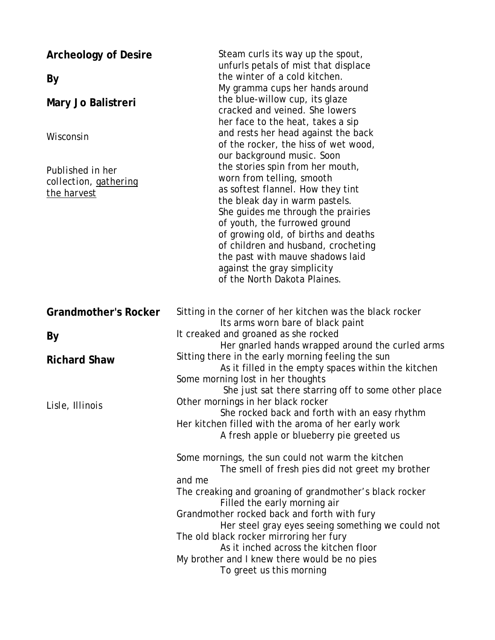| <b>Archeology of Desire</b><br>By<br>Mary Jo Balistreri<br>Wisconsin<br>Published in her<br>collection, gathering<br>the harvest | Steam curls its way up the spout,<br>unfurls petals of mist that displace<br>the winter of a cold kitchen.<br>My gramma cups her hands around<br>the blue-willow cup, its glaze<br>cracked and veined. She lowers<br>her face to the heat, takes a sip<br>and rests her head against the back<br>of the rocker, the hiss of wet wood,<br>our background music. Soon<br>the stories spin from her mouth,<br>worn from telling, smooth<br>as softest flannel. How they tint<br>the bleak day in warm pastels.<br>She guides me through the prairies<br>of youth, the furrowed ground<br>of growing old, of births and deaths<br>of children and husband, crocheting<br>the past with mauve shadows laid<br>against the gray simplicity<br>of the North Dakota Plaines. |
|----------------------------------------------------------------------------------------------------------------------------------|----------------------------------------------------------------------------------------------------------------------------------------------------------------------------------------------------------------------------------------------------------------------------------------------------------------------------------------------------------------------------------------------------------------------------------------------------------------------------------------------------------------------------------------------------------------------------------------------------------------------------------------------------------------------------------------------------------------------------------------------------------------------|
| <b>Grandmother's Rocker</b>                                                                                                      | Sitting in the corner of her kitchen was the black rocker<br>Its arms worn bare of black paint                                                                                                                                                                                                                                                                                                                                                                                                                                                                                                                                                                                                                                                                       |
| By                                                                                                                               | It creaked and groaned as she rocked<br>Her gnarled hands wrapped around the curled arms                                                                                                                                                                                                                                                                                                                                                                                                                                                                                                                                                                                                                                                                             |
| <b>Richard Shaw</b>                                                                                                              | Sitting there in the early morning feeling the sun<br>As it filled in the empty spaces within the kitchen<br>Some morning lost in her thoughts<br>She just sat there starring off to some other place                                                                                                                                                                                                                                                                                                                                                                                                                                                                                                                                                                |
| Lisle, Illinois                                                                                                                  | Other mornings in her black rocker<br>She rocked back and forth with an easy rhythm<br>Her kitchen filled with the aroma of her early work<br>A fresh apple or blueberry pie greeted us<br>Some mornings, the sun could not warm the kitchen<br>The smell of fresh pies did not greet my brother<br>and me<br>The creaking and groaning of grandmother's black rocker<br>Filled the early morning air<br>Grandmother rocked back and forth with fury                                                                                                                                                                                                                                                                                                                 |
|                                                                                                                                  | Her steel gray eyes seeing something we could not<br>The old black rocker mirroring her fury<br>As it inched across the kitchen floor<br>My brother and I knew there would be no pies<br>To greet us this morning                                                                                                                                                                                                                                                                                                                                                                                                                                                                                                                                                    |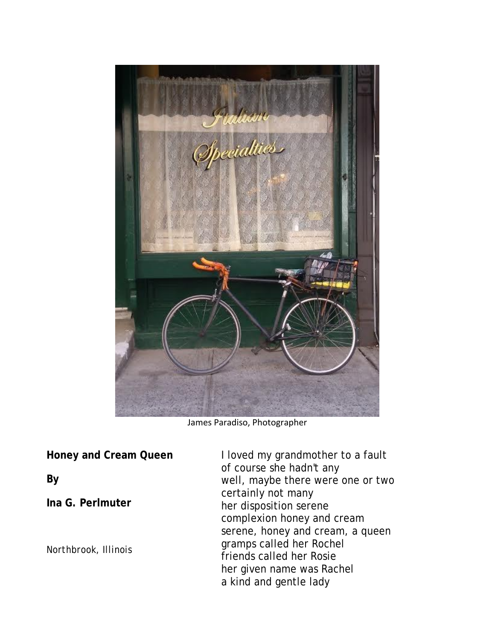

James Paradiso, Photographer

**Honey and Cream Queen**

**By** 

**Ina G. Perlmuter**

*Northbrook, Illinois*

I loved my grandmother to a fault of course she hadn't any well, maybe there were one or two certainly not many her disposition serene complexion honey and cream serene, honey and cream, a queen gramps called her Rochel friends called her Rosie her given name was Rachel a kind and gentle lady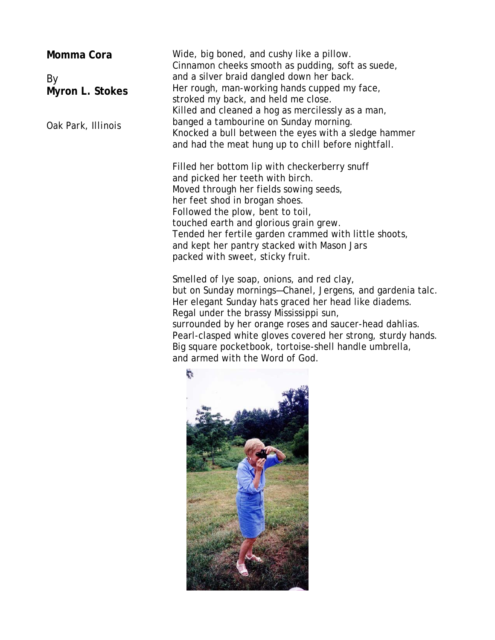**Momma Cora**

By **Myron L. Stokes**

*Oak Park, Illinois*

Wide, big boned, and cushy like a pillow. Cinnamon cheeks smooth as pudding, soft as suede, and a silver braid dangled down her back. Her rough, man-working hands cupped my face, stroked my back, and held me close. Killed and cleaned a hog as mercilessly as a man, banged a tambourine on Sunday morning. Knocked a bull between the eyes with a sledge hammer and had the meat hung up to chill before nightfall.

Filled her bottom lip with checkerberry snuff and picked her teeth with birch. Moved through her fields sowing seeds, her feet shod in brogan shoes. Followed the plow, bent to toil, touched earth and glorious grain grew. Tended her fertile garden crammed with little shoots, and kept her pantry stacked with Mason Jars packed with sweet, sticky fruit.

Smelled of lye soap, onions, and red clay, but on Sunday mornings—Chanel, Jergens, and gardenia talc. Her elegant Sunday hats graced her head like diadems. Regal under the brassy Mississippi sun, surrounded by her orange roses and saucer-head dahlias. Pearl-clasped white gloves covered her strong, sturdy hands. Big square pocketbook, tortoise-shell handle umbrella, and armed with the Word of God.

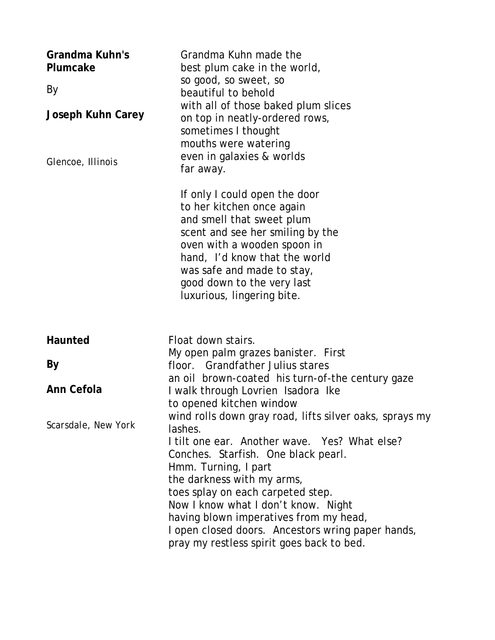| Grandma Kuhn's<br>Plumcake<br>By<br><b>Joseph Kuhn Carey</b><br>Glencoe, Illinois | Grandma Kuhn made the<br>best plum cake in the world,<br>so good, so sweet, so<br>beautiful to behold<br>with all of those baked plum slices<br>on top in neatly-ordered rows,<br>sometimes I thought<br>mouths were watering<br>even in galaxies & worlds<br>far away.                                                                                                                                                                         |
|-----------------------------------------------------------------------------------|-------------------------------------------------------------------------------------------------------------------------------------------------------------------------------------------------------------------------------------------------------------------------------------------------------------------------------------------------------------------------------------------------------------------------------------------------|
|                                                                                   | If only I could open the door<br>to her kitchen once again<br>and smell that sweet plum<br>scent and see her smiling by the<br>oven with a wooden spoon in<br>hand, I'd know that the world<br>was safe and made to stay,<br>good down to the very last<br>luxurious, lingering bite.                                                                                                                                                           |
| Haunted                                                                           | Float down stairs.                                                                                                                                                                                                                                                                                                                                                                                                                              |
| By                                                                                | My open palm grazes banister. First<br>floor. Grandfather Julius stares                                                                                                                                                                                                                                                                                                                                                                         |
| Ann Cefola                                                                        | an oil brown-coated his turn-of-the century gaze                                                                                                                                                                                                                                                                                                                                                                                                |
|                                                                                   | I walk through Lovrien Isadora Ike<br>to opened kitchen window                                                                                                                                                                                                                                                                                                                                                                                  |
| Scarsdale, New York                                                               | wind rolls down gray road, lifts silver oaks, sprays my<br>lashes.<br>I tilt one ear. Another wave. Yes? What else?<br>Conches. Starfish. One black pearl.<br><i>Hmm.</i> Turning, I part<br>the darkness with my arms,<br>toes splay on each carpeted step.<br>Now I know what I don't know. Night<br>having blown imperatives from my head,<br>I open closed doors. Ancestors wring paper hands,<br>pray my restless spirit goes back to bed. |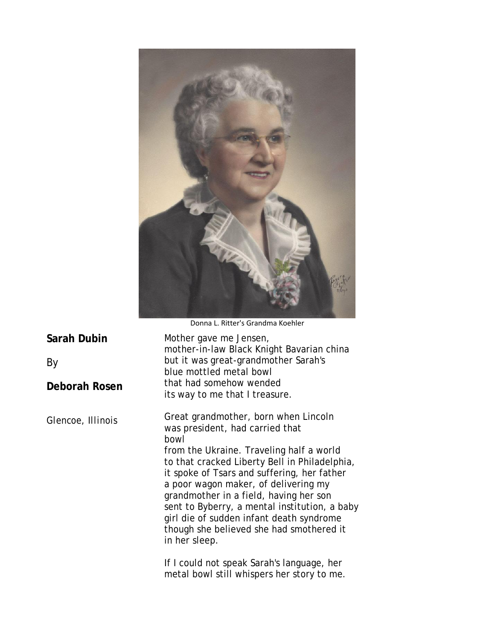

Donna L. Ritter's Grandma Koehler

| Sarah Dubin       | Mother gave me Jensen,<br>mother-in-law Black Knight Bavarian china                                                                                                                                                                                                                                                                                                                                                                                                     |  |
|-------------------|-------------------------------------------------------------------------------------------------------------------------------------------------------------------------------------------------------------------------------------------------------------------------------------------------------------------------------------------------------------------------------------------------------------------------------------------------------------------------|--|
| By                | but it was great-grandmother Sarah's<br>blue mottled metal bowl                                                                                                                                                                                                                                                                                                                                                                                                         |  |
| Deborah Rosen     | that had somehow wended<br>its way to me that I treasure.                                                                                                                                                                                                                                                                                                                                                                                                               |  |
| Glencoe, Illinois | Great grandmother, born when Lincoln<br>was president, had carried that<br>bowl<br>from the Ukraine. Traveling half a world<br>to that cracked Liberty Bell in Philadelphia,<br>it spoke of Tsars and suffering, her father<br>a poor wagon maker, of delivering my<br>grandmother in a field, having her son<br>sent to Byberry, a mental institution, a baby<br>girl die of sudden infant death syndrome<br>though she believed she had smothered it<br>in her sleep. |  |
|                   | If I could not speak Sarah's language, her<br>metal bowl still whispers her story to me.                                                                                                                                                                                                                                                                                                                                                                                |  |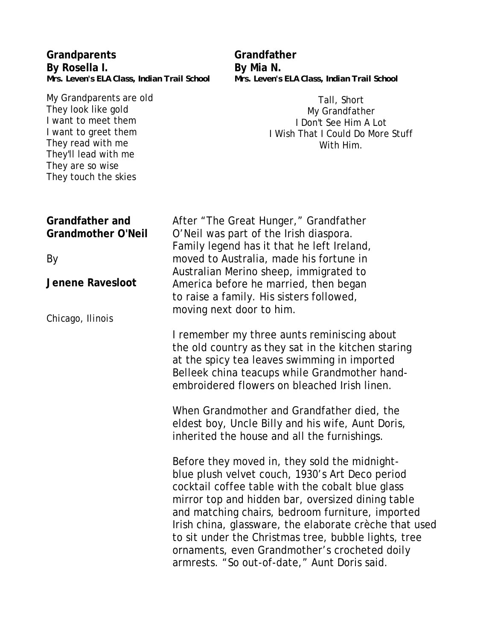| Grandparents<br>By Rosella I.                                                                                                                                                                                                         | Grandfather<br>By Mia N.                                                                                                                                                                                                                                                                                                                                                                                                                                                         |
|---------------------------------------------------------------------------------------------------------------------------------------------------------------------------------------------------------------------------------------|----------------------------------------------------------------------------------------------------------------------------------------------------------------------------------------------------------------------------------------------------------------------------------------------------------------------------------------------------------------------------------------------------------------------------------------------------------------------------------|
| Mrs. Leven's ELA Class, Indian Trail School<br>My Grandparents are old<br>They look like gold<br>I want to meet them<br>I want to greet them<br>They read with me<br>They'll lead with me<br>They are so wise<br>They touch the skies | Mrs. Leven's ELA Class, Indian Trail School<br>Tall, Short<br>My Grandfather<br>I Don't See Him A Lot<br>I Wish That I Could Do More Stuff<br>With Him.                                                                                                                                                                                                                                                                                                                          |
| <b>Grandfather and</b><br><b>Grandmother O'Neil</b><br><b>By</b><br><b>Jenene Ravesloot</b>                                                                                                                                           | After "The Great Hunger," Grandfather<br>O'Neil was part of the Irish diaspora.<br>Family legend has it that he left Ireland,<br>moved to Australia, made his fortune in<br>Australian Merino sheep, immigrated to<br>America before he married, then began<br>to raise a family. His sisters followed,<br>moving next door to him.                                                                                                                                              |
| Chicago, Ilinois                                                                                                                                                                                                                      | I remember my three aunts reminiscing about<br>the old country as they sat in the kitchen staring<br>at the spicy tea leaves swimming in imported<br>Belleek china teacups while Grandmother hand-<br>embroidered flowers on bleached Irish linen.<br>When Grandmother and Grandfather died, the<br>eldest boy, Uncle Billy and his wife, Aunt Doris,<br>inherited the house and all the furnishings.                                                                            |
|                                                                                                                                                                                                                                       | Before they moved in, they sold the midnight-<br>blue plush velvet couch, 1930's Art Deco period<br>cocktail coffee table with the cobalt blue glass<br>mirror top and hidden bar, oversized dining table<br>and matching chairs, bedroom furniture, imported<br>Irish china, glassware, the elaborate crèche that used<br>to sit under the Christmas tree, bubble lights, tree<br>ornaments, even Grandmother's crocheted doily<br>armrests. "So out-of-date," Aunt Doris said. |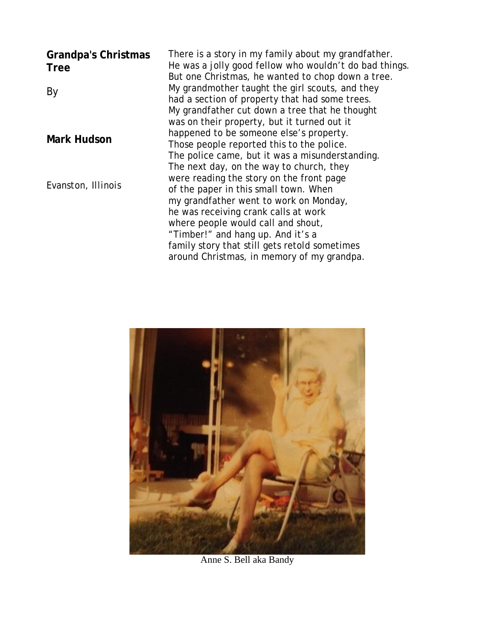| <b>Grandpa's Christmas</b><br><b>Tree</b> | There is a story in my family about my grandfather.<br>He was a jolly good fellow who wouldn't do bad things.<br>But one Christmas, he wanted to chop down a tree. |
|-------------------------------------------|--------------------------------------------------------------------------------------------------------------------------------------------------------------------|
| By                                        | My grandmother taught the girl scouts, and they<br>had a section of property that had some trees.                                                                  |
|                                           | My grandfather cut down a tree that he thought                                                                                                                     |
|                                           | was on their property, but it turned out it                                                                                                                        |
| <b>Mark Hudson</b>                        | happened to be someone else's property.                                                                                                                            |
|                                           | Those people reported this to the police.                                                                                                                          |
|                                           | The police came, but it was a misunderstanding.                                                                                                                    |
|                                           | The next day, on the way to church, they                                                                                                                           |
| Evanston, Illinois                        | were reading the story on the front page                                                                                                                           |
|                                           | of the paper in this small town. When                                                                                                                              |
|                                           | my grandfather went to work on Monday,                                                                                                                             |
|                                           | he was receiving crank calls at work                                                                                                                               |
|                                           | where people would call and shout,                                                                                                                                 |
|                                           | "Timber!" and hang up. And it's a                                                                                                                                  |
|                                           | family story that still gets retold sometimes                                                                                                                      |
|                                           | around Christmas, in memory of my grandpa.                                                                                                                         |



Anne S. Bell aka Bandy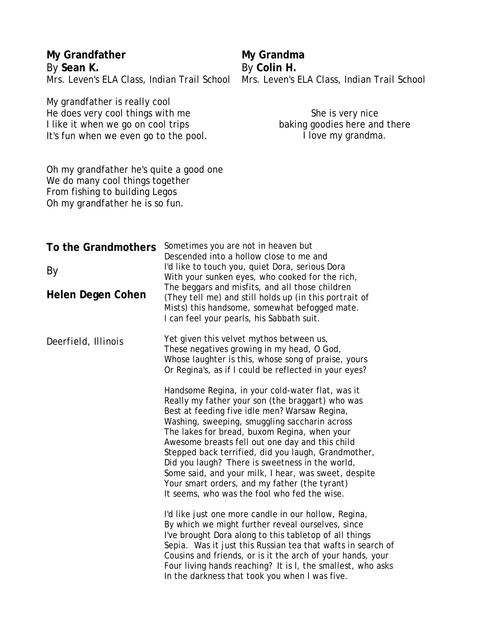| My Grandfather<br>By Sean K.<br>Mrs. Leven's ELA Class, Indian Trail School                                                                      |                                                                                                                                                                                                                                                                                                                                                                                                                                                                                                                                                                                                                                                                                                                                                                                        | My Grandma<br>By Colin H.<br>Mrs. Leven's ELA Class, Indian Trail School                                                                                                                                                                                                                                                                                                                                          |
|--------------------------------------------------------------------------------------------------------------------------------------------------|----------------------------------------------------------------------------------------------------------------------------------------------------------------------------------------------------------------------------------------------------------------------------------------------------------------------------------------------------------------------------------------------------------------------------------------------------------------------------------------------------------------------------------------------------------------------------------------------------------------------------------------------------------------------------------------------------------------------------------------------------------------------------------------|-------------------------------------------------------------------------------------------------------------------------------------------------------------------------------------------------------------------------------------------------------------------------------------------------------------------------------------------------------------------------------------------------------------------|
| My grandfather is really cool<br>He does very cool things with me<br>I like it when we go on cool trips<br>It's fun when we even go to the pool. |                                                                                                                                                                                                                                                                                                                                                                                                                                                                                                                                                                                                                                                                                                                                                                                        | She is very nice<br>baking goodies here and there<br>I love my grandma.                                                                                                                                                                                                                                                                                                                                           |
| Oh my grandfather he's quite a good one<br>We do many cool things together<br>From fishing to building Legos<br>Oh my grandfather he is so fun.  |                                                                                                                                                                                                                                                                                                                                                                                                                                                                                                                                                                                                                                                                                                                                                                                        |                                                                                                                                                                                                                                                                                                                                                                                                                   |
| To the Grandmothers<br>By                                                                                                                        | Sometimes you are not in heaven but<br>Descended into a hollow close to me and<br>I'd like to touch you, quiet Dora, serious Dora<br>With your sunken eyes, who cooked for the rich,                                                                                                                                                                                                                                                                                                                                                                                                                                                                                                                                                                                                   |                                                                                                                                                                                                                                                                                                                                                                                                                   |
| Helen Degen Cohen                                                                                                                                |                                                                                                                                                                                                                                                                                                                                                                                                                                                                                                                                                                                                                                                                                                                                                                                        | The beggars and misfits, and all those children<br>(They tell me) and still holds up (in this portrait of<br>Mists) this handsome, somewhat befogged mate.<br>I can feel your pearls, his Sabbath suit.                                                                                                                                                                                                           |
| Deerfield, Illinois                                                                                                                              | Yet given this velvet mythos between us,<br>These negatives growing in my head, O God,<br>Whose laughter is this, whose song of praise, yours<br>Or Regina's, as if I could be reflected in your eyes?<br>Handsome Regina, in your cold-water flat, was it<br>Really my father your son (the braggart) who was<br>Best at feeding five idle men? Warsaw Regina,<br>Washing, sweeping, smuggling saccharin across<br>The lakes for bread, buxom Regina, when your<br>Awesome breasts fell out one day and this child<br>Stepped back terrified, did you laugh, Grandmother,<br>Did you laugh? There is sweetness in the world,<br>Some said, and your milk, I hear, was sweet, despite<br>Your smart orders, and my father (the tyrant)<br>It seems, who was the fool who fed the wise. |                                                                                                                                                                                                                                                                                                                                                                                                                   |
|                                                                                                                                                  |                                                                                                                                                                                                                                                                                                                                                                                                                                                                                                                                                                                                                                                                                                                                                                                        | I'd like just one more candle in our hollow, Regina,<br>By which we might further reveal ourselves, since<br>I've brought Dora along to this tabletop of all things<br>Sepia. Was it just this Russian tea that wafts in search of<br>Cousins and friends, or is it the arch of your hands, your<br>Four living hands reaching? It is I, the smallest, who asks<br>In the darkness that took you when I was five. |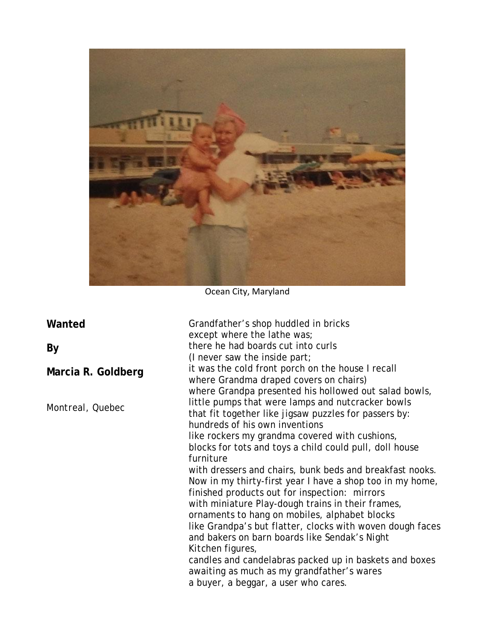

Ocean City, Maryland

| Wanted             | Grandfather's shop huddled in bricks<br>except where the lathe was;                                                                                                                                   |
|--------------------|-------------------------------------------------------------------------------------------------------------------------------------------------------------------------------------------------------|
| By                 | there he had boards cut into curls<br>(I never saw the inside part;                                                                                                                                   |
| Marcia R. Goldberg | it was the cold front porch on the house I recall<br>where Grandma draped covers on chairs)                                                                                                           |
| Montreal, Quebec   | where Grandpa presented his hollowed out salad bowls,<br>little pumps that were lamps and nutcracker bowls<br>that fit together like jigsaw puzzles for passers by:<br>hundreds of his own inventions |
|                    | like rockers my grandma covered with cushions,<br>blocks for tots and toys a child could pull, doll house<br>furniture                                                                                |
|                    | with dressers and chairs, bunk beds and breakfast nooks.<br>Now in my thirty-first year I have a shop too in my home,<br>finished products out for inspection: mirrors                                |
|                    | with miniature Play-dough trains in their frames,<br>ornaments to hang on mobiles, alphabet blocks<br>like Grandpa's but flatter, clocks with woven dough faces                                       |
|                    | and bakers on barn boards like Sendak's Night<br>Kitchen figures,                                                                                                                                     |
|                    | candles and candelabras packed up in baskets and boxes<br>awaiting as much as my grandfather's wares<br>a buyer, a beggar, a user who cares.                                                          |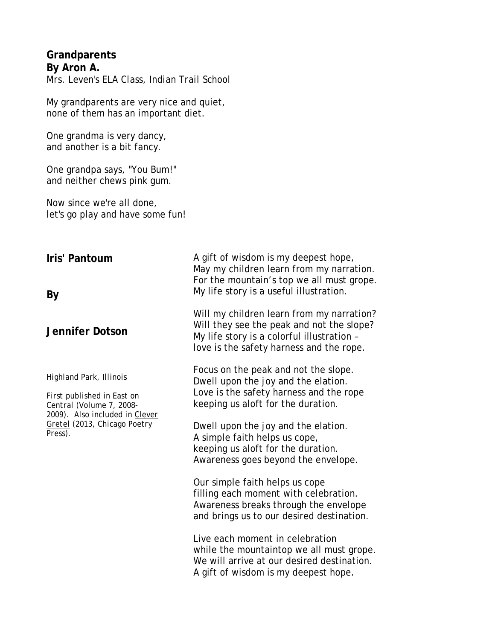#### **Grandparents By Aron A.** *Mrs. Leven's ELA Class, Indian Trail School*

My grandparents are very nice and quiet, none of them has an important diet.

One grandma is very dancy, and another is a bit fancy.

One grandpa says, "You Bum!" and neither chews pink gum.

Now since we're all done, let's go play and have some fun!

#### **Iris' Pantoum**

#### **By**

#### **Jennifer Dotson**

*Highland Park, Illinois*

*First published in East on Central (Volume 7, 2008- 2009). Also included in Clever Gretel (2013, Chicago Poetry Press).*

A gift of wisdom is my deepest hope, May my children learn from my narration. For the mountain's top we all must grope. My life story is a useful illustration.

Will my children learn from my narration? Will they see the peak and not the slope? My life story is a colorful illustration – love is the safety harness and the rope.

Focus on the peak and not the slope. Dwell upon the joy and the elation. Love is the safety harness and the rope keeping us aloft for the duration.

Dwell upon the joy and the elation. A simple faith helps us cope, keeping us aloft for the duration. Awareness goes beyond the envelope.

Our simple faith helps us cope filling each moment with celebration. Awareness breaks through the envelope and brings us to our desired destination.

Live each moment in celebration while the mountaintop we all must grope. We will arrive at our desired destination. A gift of wisdom is my deepest hope.